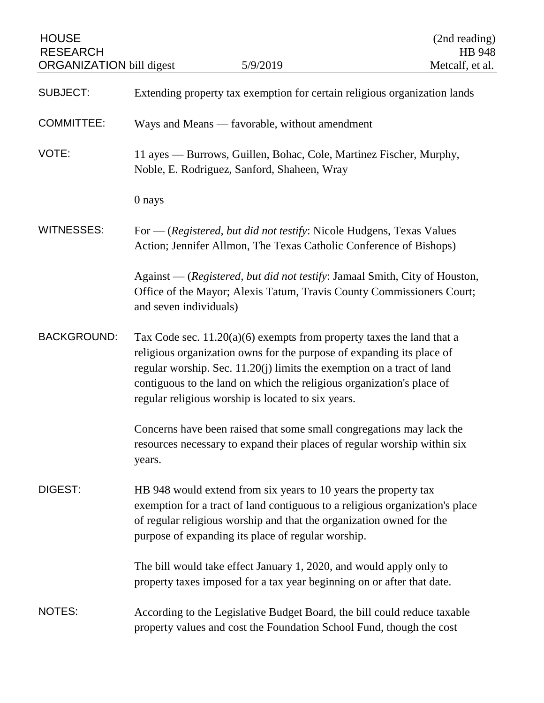| <b>HOUSE</b><br><b>RESEARCH</b><br><b>ORGANIZATION</b> bill digest |                                                                                                                                                                                                                                                                                                                                                           | 5/9/2019                                                                                                                                         | (2nd reading)<br>HB 948<br>Metcalf, et al. |
|--------------------------------------------------------------------|-----------------------------------------------------------------------------------------------------------------------------------------------------------------------------------------------------------------------------------------------------------------------------------------------------------------------------------------------------------|--------------------------------------------------------------------------------------------------------------------------------------------------|--------------------------------------------|
|                                                                    |                                                                                                                                                                                                                                                                                                                                                           |                                                                                                                                                  |                                            |
| <b>SUBJECT:</b>                                                    |                                                                                                                                                                                                                                                                                                                                                           | Extending property tax exemption for certain religious organization lands                                                                        |                                            |
| <b>COMMITTEE:</b>                                                  | Ways and Means - favorable, without amendment                                                                                                                                                                                                                                                                                                             |                                                                                                                                                  |                                            |
| VOTE:                                                              | 11 ayes — Burrows, Guillen, Bohac, Cole, Martinez Fischer, Murphy,<br>Noble, E. Rodriguez, Sanford, Shaheen, Wray                                                                                                                                                                                                                                         |                                                                                                                                                  |                                            |
|                                                                    | 0 nays                                                                                                                                                                                                                                                                                                                                                    |                                                                                                                                                  |                                            |
| <b>WITNESSES:</b>                                                  | For — (Registered, but did not testify: Nicole Hudgens, Texas Values<br>Action; Jennifer Allmon, The Texas Catholic Conference of Bishops)                                                                                                                                                                                                                |                                                                                                                                                  |                                            |
|                                                                    | Against — (Registered, but did not testify: Jamaal Smith, City of Houston,<br>Office of the Mayor; Alexis Tatum, Travis County Commissioners Court;<br>and seven individuals)                                                                                                                                                                             |                                                                                                                                                  |                                            |
| <b>BACKGROUND:</b>                                                 | Tax Code sec. $11.20(a)(6)$ exempts from property taxes the land that a<br>religious organization owns for the purpose of expanding its place of<br>regular worship. Sec. 11.20(j) limits the exemption on a tract of land<br>contiguous to the land on which the religious organization's place of<br>regular religious worship is located to six years. |                                                                                                                                                  |                                            |
|                                                                    | Concerns have been raised that some small congregations may lack the<br>resources necessary to expand their places of regular worship within six<br>years.                                                                                                                                                                                                |                                                                                                                                                  |                                            |
| <b>DIGEST:</b>                                                     | HB 948 would extend from six years to 10 years the property tax<br>exemption for a tract of land contiguous to a religious organization's place<br>of regular religious worship and that the organization owned for the<br>purpose of expanding its place of regular worship.                                                                             |                                                                                                                                                  |                                            |
|                                                                    | The bill would take effect January 1, 2020, and would apply only to<br>property taxes imposed for a tax year beginning on or after that date.                                                                                                                                                                                                             |                                                                                                                                                  |                                            |
| NOTES:                                                             |                                                                                                                                                                                                                                                                                                                                                           | According to the Legislative Budget Board, the bill could reduce taxable<br>property values and cost the Foundation School Fund, though the cost |                                            |